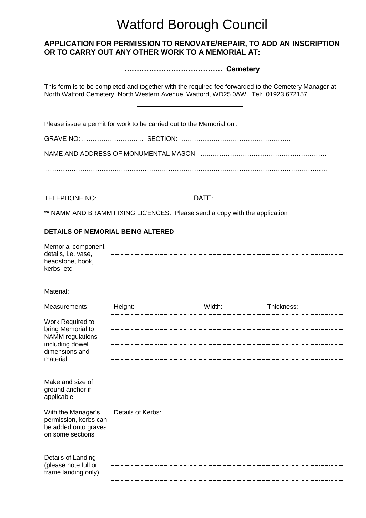# Watford Borough Council

## **APPLICATION FOR PERMISSION TO RENOVATE/REPAIR, TO ADD AN INSCRIPTION OR TO CARRY OUT ANY OTHER WORK TO A MEMORIAL AT:**

**…………………………………. Cemetery**

This form is to be completed and together with the required fee forwarded to the Cemetery Manager at North Watford Cemetery, North Western Avenue, Watford, WD25 0AW. Tel: 01923 672157

Please issue a permit for work to be carried out to the Memorial on :

\*\* NAMM AND BRAMM FIXING LICENCES: Please send a copy with the application

### **DETAILS OF MEMORIAL BEING ALTERED**

| Memorial component<br>details, i.e. vase,<br>headstone, book,<br>kerbs, etc.                                      |                   |        |            |  |
|-------------------------------------------------------------------------------------------------------------------|-------------------|--------|------------|--|
| Material:                                                                                                         |                   |        |            |  |
| Measurements:                                                                                                     | Height:           | Width: | Thickness: |  |
| Work Required to<br>bring Memorial to<br><b>NAMM</b> regulations<br>including dowel<br>dimensions and<br>material |                   |        |            |  |
| Make and size of<br>ground anchor if<br>applicable                                                                |                   |        |            |  |
| With the Manager's<br>permission, kerbs can<br>be added onto graves<br>on some sections                           | Details of Kerbs: |        |            |  |
|                                                                                                                   |                   |        |            |  |
| Details of Landing<br>(please note full or<br>frame landing only)                                                 |                   |        |            |  |